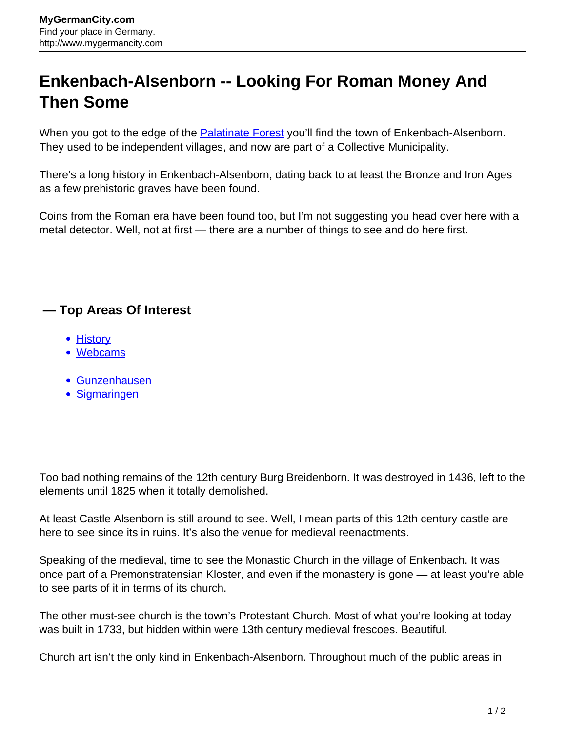## **Enkenbach-Alsenborn -- Looking For Roman Money And Then Some**

When you got to the edge of the **[Palatinate Forest](http://www.mygermancity.com/palatinate-forest)** you'll find the town of Enkenbach-Alsenborn. They used to be independent villages, and now are part of a Collective Municipality.

There's a long history in Enkenbach-Alsenborn, dating back to at least the Bronze and Iron Ages as a few prehistoric graves have been found.

Coins from the Roman era have been found too, but I'm not suggesting you head over here with a metal detector. Well, not at first — there are a number of things to see and do here first.

## **— Top Areas Of Interest**

- [History](http://www.mygermancity.com/leipzig-history)
- [Webcams](http://www.mygermancity.com/neustadt-holstein-webcams)
- [Gunzenhausen](http://www.mygermancity.com/gunzenhausen)
- [Sigmaringen](http://www.mygermancity.com/sigmaringen)

Too bad nothing remains of the 12th century Burg Breidenborn. It was destroyed in 1436, left to the elements until 1825 when it totally demolished.

At least Castle Alsenborn is still around to see. Well, I mean parts of this 12th century castle are here to see since its in ruins. It's also the venue for medieval reenactments.

Speaking of the medieval, time to see the Monastic Church in the village of Enkenbach. It was once part of a Premonstratensian Kloster, and even if the monastery is gone — at least you're able to see parts of it in terms of its church.

The other must-see church is the town's Protestant Church. Most of what you're looking at today was built in 1733, but hidden within were 13th century medieval frescoes. Beautiful.

Church art isn't the only kind in Enkenbach-Alsenborn. Throughout much of the public areas in